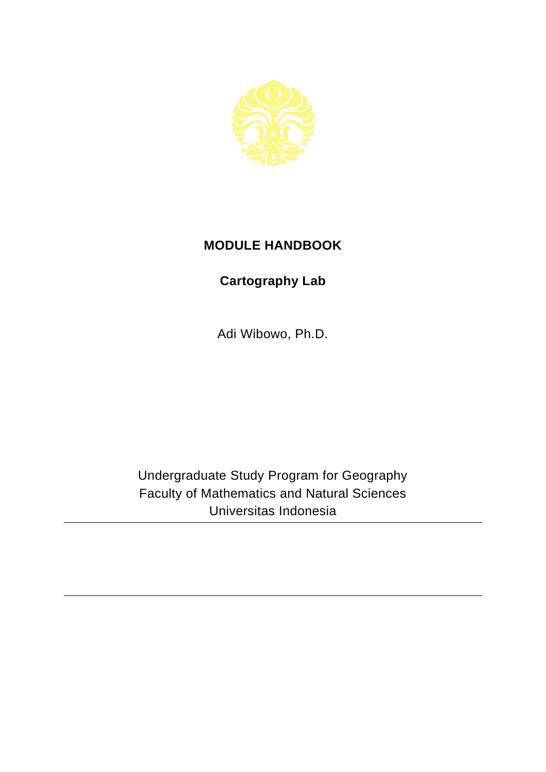

## **MODULE HANDBOOK**

## **Cartography Lab**

Adi Wibowo, Ph.D.

Undergraduate Study Program for Geography Faculty of Mathematics and Natural Sciences Universitas Indonesia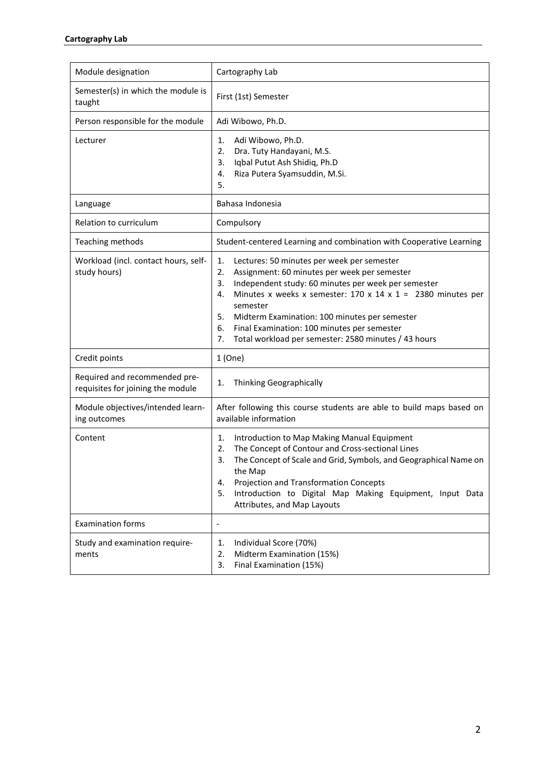| Module designation                                                 | Cartography Lab                                                                                                                                                                                                                                                                                                                                                                                                                            |
|--------------------------------------------------------------------|--------------------------------------------------------------------------------------------------------------------------------------------------------------------------------------------------------------------------------------------------------------------------------------------------------------------------------------------------------------------------------------------------------------------------------------------|
| Semester(s) in which the module is<br>taught                       | First (1st) Semester                                                                                                                                                                                                                                                                                                                                                                                                                       |
| Person responsible for the module                                  | Adi Wibowo, Ph.D.                                                                                                                                                                                                                                                                                                                                                                                                                          |
| Lecturer                                                           | Adi Wibowo, Ph.D.<br>1.<br>Dra. Tuty Handayani, M.S.<br>2.<br>Iqbal Putut Ash Shidiq, Ph.D<br>3.<br>Riza Putera Syamsuddin, M.Si.<br>4.<br>5.                                                                                                                                                                                                                                                                                              |
| Language                                                           | Bahasa Indonesia                                                                                                                                                                                                                                                                                                                                                                                                                           |
| Relation to curriculum                                             | Compulsory                                                                                                                                                                                                                                                                                                                                                                                                                                 |
| Teaching methods                                                   | Student-centered Learning and combination with Cooperative Learning                                                                                                                                                                                                                                                                                                                                                                        |
| Workload (incl. contact hours, self-<br>study hours)               | Lectures: 50 minutes per week per semester<br>1.<br>2.<br>Assignment: 60 minutes per week per semester<br>Independent study: 60 minutes per week per semester<br>3.<br>Minutes x weeks x semester: $170 \times 14 \times 1 = 2380$ minutes per<br>4.<br>semester<br>5.<br>Midterm Examination: 100 minutes per semester<br>Final Examination: 100 minutes per semester<br>6.<br>Total workload per semester: 2580 minutes / 43 hours<br>7. |
| Credit points                                                      | 1(One)                                                                                                                                                                                                                                                                                                                                                                                                                                     |
| Required and recommended pre-<br>requisites for joining the module | Thinking Geographically<br>1.                                                                                                                                                                                                                                                                                                                                                                                                              |
| Module objectives/intended learn-<br>ing outcomes                  | After following this course students are able to build maps based on<br>available information                                                                                                                                                                                                                                                                                                                                              |
| Content                                                            | Introduction to Map Making Manual Equipment<br>1.<br>The Concept of Contour and Cross-sectional Lines<br>2.<br>3.<br>The Concept of Scale and Grid, Symbols, and Geographical Name on<br>the Map<br>Projection and Transformation Concepts<br>4.<br>Introduction to Digital Map Making Equipment, Input Data<br>5.<br>Attributes, and Map Layouts                                                                                          |
| <b>Examination forms</b>                                           | $\qquad \qquad \blacksquare$                                                                                                                                                                                                                                                                                                                                                                                                               |
| Study and examination require-<br>ments                            | Individual Score (70%)<br>1.<br>Midterm Examination (15%)<br>2.<br>Final Examination (15%)<br>3.                                                                                                                                                                                                                                                                                                                                           |